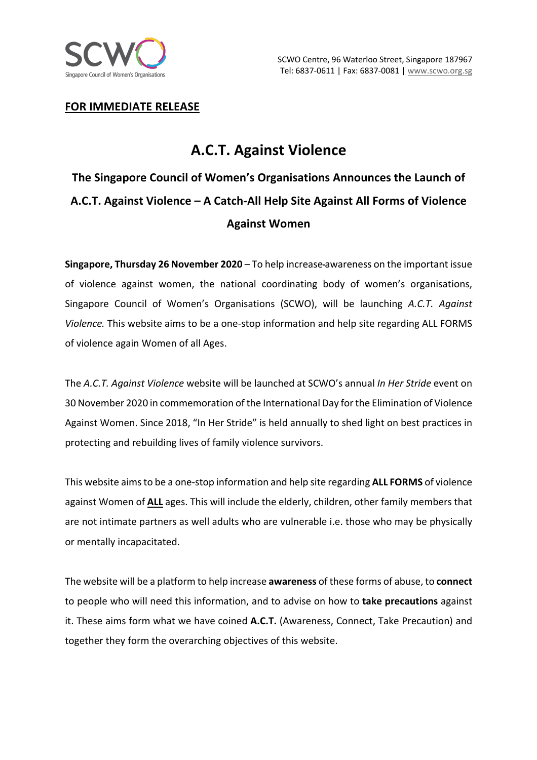

## **FOR IMMEDIATE RELEASE**

## **A.C.T. Against Violence**

**The Singapore Council of Women's Organisations Announces the Launch of A.C.T. Against Violence – A Catch-All Help Site Against All Forms of Violence Against Women**

**Singapore, Thursday 26 November 2020** – To help increase awareness on the important issue of violence against women, the national coordinating body of women's organisations, Singapore Council of Women's Organisations (SCWO), will be launching *A.C.T. Against Violence.* This website aims to be a one-stop information and help site regarding ALL FORMS of violence again Women of all Ages.

The *A.C.T. Against Violence* website will be launched at SCWO's annual *In Her Stride* event on 30 November 2020 in commemoration of the International Day for the Elimination of Violence Against Women. Since 2018, "In Her Stride" is held annually to shed light on best practices in protecting and rebuilding lives of family violence survivors.

This website aims to be a one-stop information and help site regarding **ALL FORMS** of violence against Women of **ALL** ages. This will include the elderly, children, other family members that are not intimate partners as well adults who are vulnerable i.e. those who may be physically or mentally incapacitated.

The website will be a platform to help increase **awareness** of these forms of abuse, to **connect**  to people who will need this information, and to advise on how to **take precautions** against it. These aims form what we have coined **A.C.T.** (Awareness, Connect, Take Precaution) and together they form the overarching objectives of this website.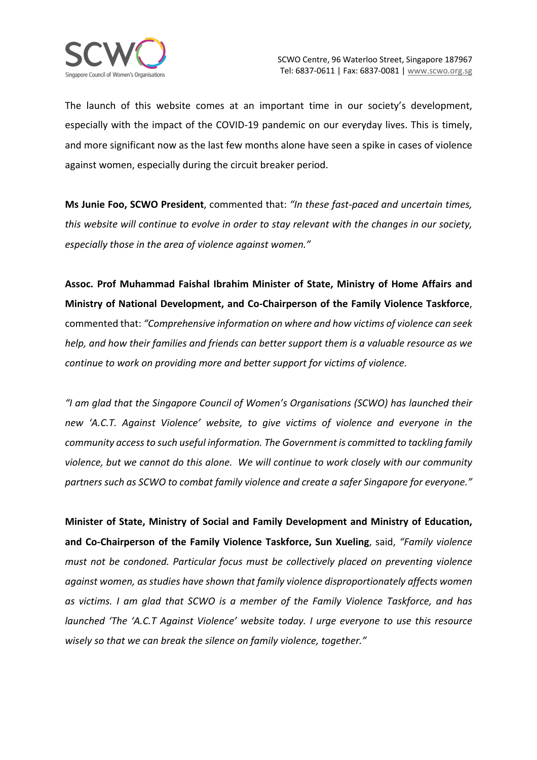The launch of this website comes at an important time in our society's development, especially with the impact of the COVID-19 pandemic on our everyday lives. This is timely, and more significant now as the last few months alone have seen a spike in cases of violence against women, especially during the circuit breaker period.

**Ms Junie Foo, SCWO President**, commented that: *"In these fast-paced and uncertain times, this website will continue to evolve in order to stay relevant with the changes in our society, especially those in the area of violence against women."*

**Assoc. Prof Muhammad Faishal Ibrahim Minister of State, Ministry of Home Affairs and Ministry of National Development, and Co-Chairperson of the Family Violence Taskforce**, commented that: *"Comprehensive information on where and how victims of violence can seek help, and how their families and friends can better support them is a valuable resource as we continue to work on providing more and better support for victims of violence.* 

*"I am glad that the Singapore Council of Women's Organisations (SCWO) has launched their new 'A.C.T. Against Violence' website, to give victims of violence and everyone in the community access to such useful information. The Government is committed to tackling family violence, but we cannot do this alone. We will continue to work closely with our community partners such as SCWO to combat family violence and create a safer Singapore for everyone."*

**Minister of State, Ministry of Social and Family Development and Ministry of Education, and Co-Chairperson of the Family Violence Taskforce, Sun Xueling**, said, *"Family violence must not be condoned. Particular focus must be collectively placed on preventing violence against women, as studies have shown that family violence disproportionately affects women as victims. I am glad that SCWO is a member of the Family Violence Taskforce, and has launched 'The 'A.C.T Against Violence' website today. I urge everyone to use this resource wisely so that we can break the silence on family violence, together."*